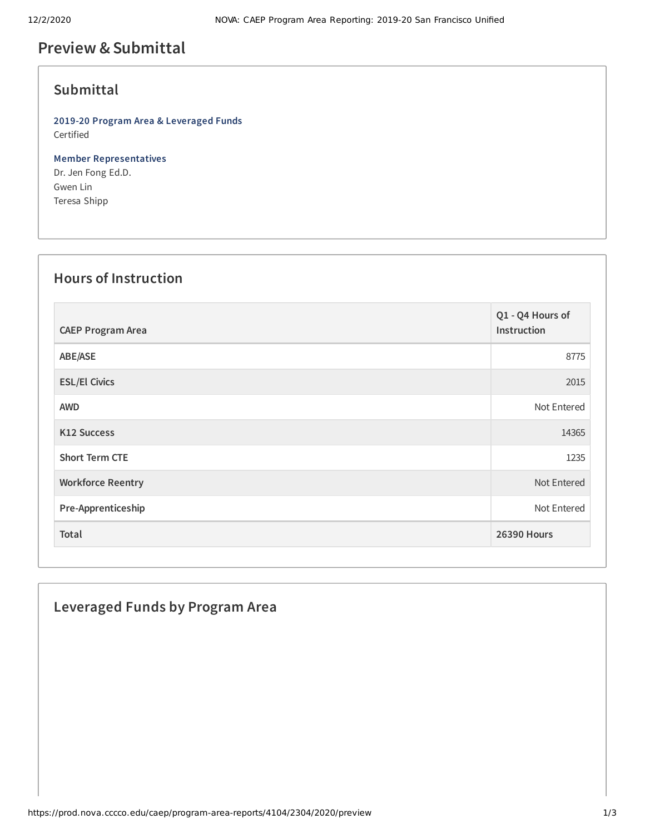# **Preview &Submittal**

#### **Submittal**

**2019-20 Program Area & Leveraged Funds** Certified

**Member Representatives** Dr. Jen Fong Ed.D. Gwen Lin Teresa Shipp

## **Hours of Instruction**

| <b>CAEP Program Area</b> | Q1 - Q4 Hours of<br>Instruction |
|--------------------------|---------------------------------|
| ABE/ASE                  | 8775                            |
| <b>ESL/El Civics</b>     | 2015                            |
| <b>AWD</b>               | Not Entered                     |
| <b>K12 Success</b>       | 14365                           |
| <b>Short Term CTE</b>    | 1235                            |
| <b>Workforce Reentry</b> | Not Entered                     |
| Pre-Apprenticeship       | Not Entered                     |
| Total                    | <b>26390 Hours</b>              |

### **Leveraged Funds by Program Area**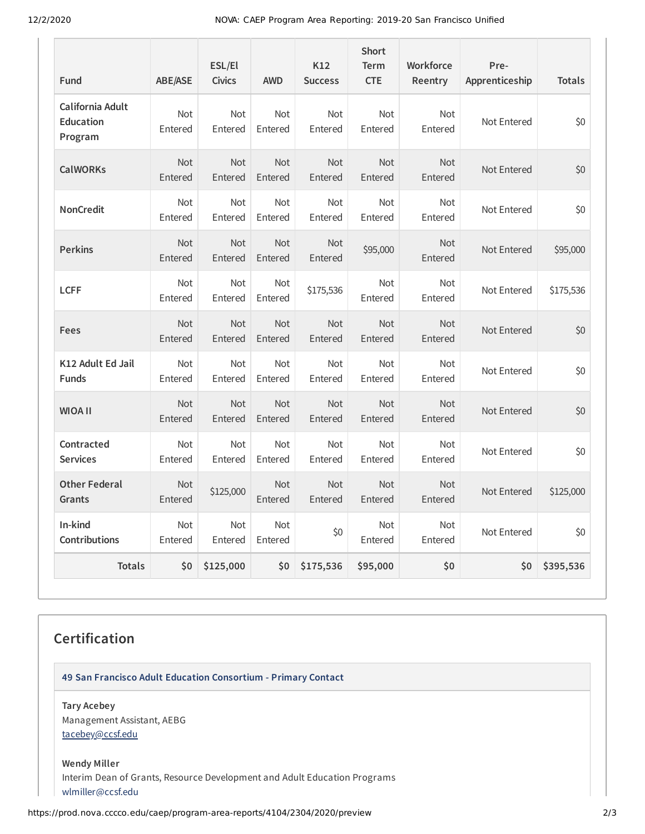12/2/2020 NOVA: CAEP Program Area Reporting: 2019-20 San Francisco Unified

| Fund                                            | <b>ABE/ASE</b>            | ESL/El<br><b>Civics</b> | <b>AWD</b>            | K <sub>12</sub><br><b>Success</b> | <b>Short</b><br><b>Term</b><br><b>CTE</b> | <b>Workforce</b><br>Reentry | Pre-<br>Apprenticeship | <b>Totals</b> |
|-------------------------------------------------|---------------------------|-------------------------|-----------------------|-----------------------------------|-------------------------------------------|-----------------------------|------------------------|---------------|
| California Adult<br><b>Education</b><br>Program | Not<br>Entered            | Not<br>Entered          | Not<br>Entered        | Not<br>Entered                    | Not<br>Entered                            | Not<br>Entered              | Not Entered            | \$0           |
| <b>CalWORKs</b>                                 | <b>Not</b><br>Entered     | Not<br>Entered          | Not<br>Entered        | <b>Not</b><br>Entered             | Not<br>Entered                            | Not<br>Entered              | Not Entered            | \$0           |
| <b>NonCredit</b>                                | Not<br>Entered            | Not<br>Entered          | Not<br>Entered        | Not<br>Entered                    | Not<br>Entered                            | Not<br>Entered              | Not Entered            | \$0           |
| <b>Perkins</b>                                  | <b>Not</b><br>Entered     | <b>Not</b><br>Entered   | <b>Not</b><br>Entered | <b>Not</b><br>Entered             | \$95,000                                  | <b>Not</b><br>Entered       | Not Entered            | \$95,000      |
| <b>LCFF</b>                                     | Not<br>Entered            | Not<br>Entered          | Not<br>Entered        | \$175,536                         | Not<br>Entered                            | <b>Not</b><br>Entered       | Not Entered            | \$175,536     |
| Fees                                            | <b>Not</b><br>Entered     | <b>Not</b><br>Entered   | <b>Not</b><br>Entered | <b>Not</b><br>Entered             | <b>Not</b><br>Entered                     | <b>Not</b><br>Entered       | Not Entered            | \$0           |
| K12 Adult Ed Jail<br><b>Funds</b>               | <b>Not</b><br>Entered     | Not<br>Entered          | <b>Not</b><br>Entered | <b>Not</b><br>Entered             | <b>Not</b><br>Entered                     | <b>Not</b><br>Entered       | Not Entered            | \$0           |
| <b>WIOA II</b>                                  | Not<br>Entered            | Not<br>Entered          | Not<br>Entered        | Not<br>Entered                    | Not<br>Entered                            | <b>Not</b><br>Entered       | Not Entered            | \$0           |
| Contracted<br><b>Services</b>                   | <b>Not</b><br>Entered     | <b>Not</b><br>Entered   | <b>Not</b><br>Entered | Not<br>Entered                    | <b>Not</b><br>Entered                     | <b>Not</b><br>Entered       | Not Entered            | \$0           |
| <b>Other Federal</b><br>Grants                  | Not<br>Entered            | \$125,000               | Not<br>Entered        | Not<br>Entered                    | <b>Not</b><br>Entered                     | <b>Not</b><br>Entered       | Not Entered            | \$125,000     |
| In-kind<br><b>Contributions</b>                 | <b>Not</b><br>Entered     | Not<br>Entered          | Not<br>Entered        | \$0                               | Not<br>Entered                            | <b>Not</b><br>Entered       | Not Entered            | \$0           |
| <b>Totals</b>                                   | $\mathsf{S}^{\mathsf{O}}$ | \$125,000               | \$0                   | \$175,536                         | \$95,000                                  | \$0                         | \$0                    | \$395,536     |

### **Certification**

**49 San Francisco Adult Education Consortium - Primary Contact**

**Tary Acebey** Management Assistant, AEBG [tacebey@ccsf.edu](mailto:tacebey@ccsf.edu)

**Wendy Miller** Interim Dean of Grants, Resource Development and Adult Education Programs [wlmiller@ccsf.edu](mailto:wlmiller@ccsf.edu)